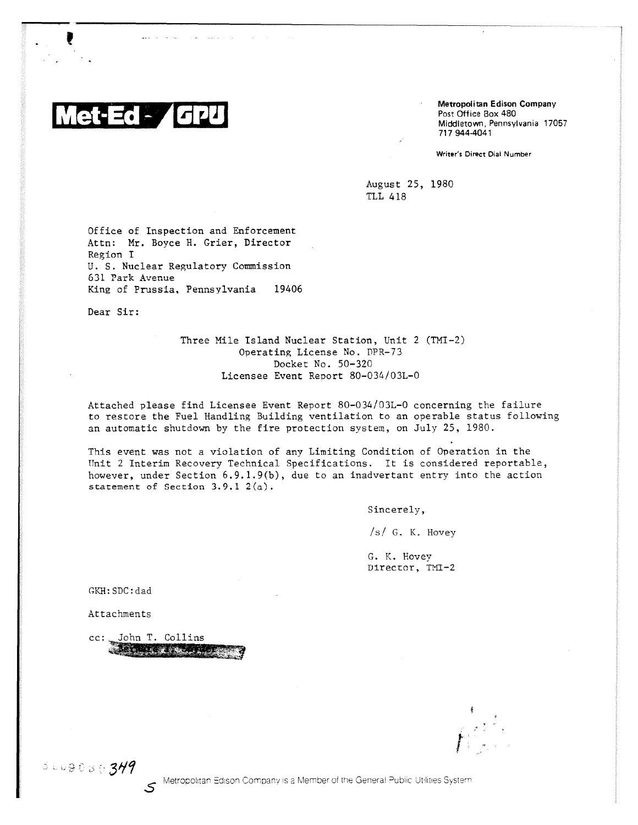

Metropolitan Edison Company Post Office Box 480 Middletown, Pennsylvania 17057 717 9444041

Writer's Direct Dial Number

August 25, 1980 TLL 418

Office of Inspection and Enforcement Attn: Mr. Boyce H. Grier, Director Region I U. S. Nuclear Regulatory Commission 631 Park Avenue King of Prussia, Pennsylvania 19406

Dear Sir:

Three Mile Island Nuclear Station, Unit 2 (TMI-2) Operating License No. DPR-73 Docket No. 50-320 Licensee Event Report 80-034/03L-0

Attached please find Licensee Event Report 80-034/03L-0 concerning the failure to restore the Fuel Handling Building ventilation to an operable status following an automatic shutdown by the fire protection system, on July 25, 1980.

This event was not a violation of any Limiting Condition of Operation in the Unit 2 Interim Recovery Technical Specifications. It is considered reportable, however, under Section 6.9.1.9(b), due to an inadvertant entry into the action statement of Section 3.9.1 2(a).

Sincerely,

/s/ G. K. Hovey

G. K. Hovey Director, TMI-2

GKH:SDC:dad

Attachments

cc: John T. Collins ST.

3009030349

S Metropolitan Edison Company is a Member of the General Public Utilities System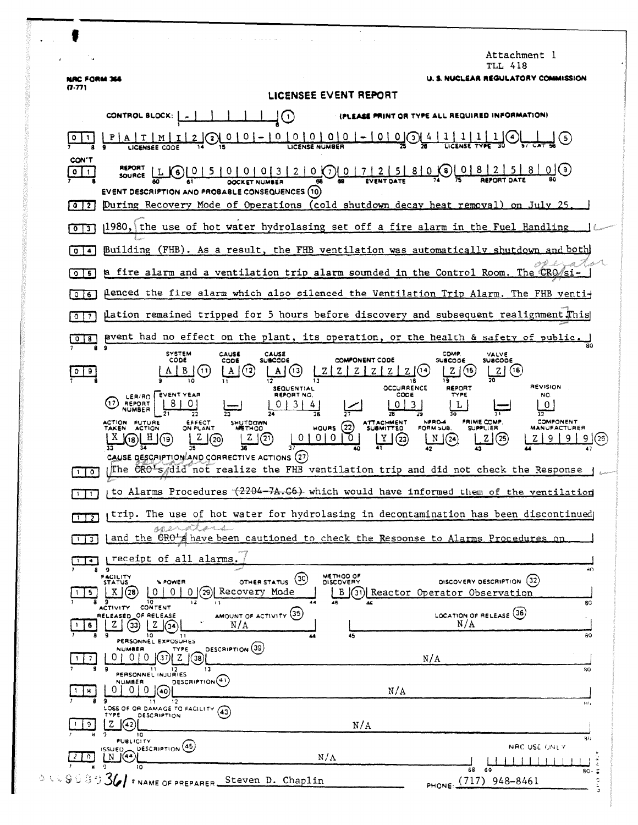|                                     | Attachment l<br>TLL 418                                                                                                                                                                                                                                                                                                                                                                                                                                     |
|-------------------------------------|-------------------------------------------------------------------------------------------------------------------------------------------------------------------------------------------------------------------------------------------------------------------------------------------------------------------------------------------------------------------------------------------------------------------------------------------------------------|
| NAC FORM 366<br>(7.77)              | U. S. NUCLEAR REGULATORY COMMISSION<br>LICENSEE EVENT REPORT                                                                                                                                                                                                                                                                                                                                                                                                |
|                                     | PLEASE PRINT OR TYPE ALL REQUIRED INFORMATION)<br>CONTROL BLOCK: [<br>$\cup$                                                                                                                                                                                                                                                                                                                                                                                |
|                                     | $\underbrace{0 \mid 0 \mid 0 \mid 0 \mid - \mid 0 \mid 0}_{\text{gewise numbers}}$<br>0<br>$\left( 5\right)$<br>$\overline{\mathbf{z}}$                                                                                                                                                                                                                                                                                                                     |
| CON'T<br>011<br>0  2                | 5   0   0   0   3   2   0   0   0   2   2   5   8   0   0   8   2   2   5   8   0   0   8   2   0   0   8   2  <br>0(9)<br>SOURCE L<br>$\left( 6\right)$<br>EVENT DESCRIPTION AND PROBABLE CONSEQUENCES (10)<br>During Recovery Mode of Operations (cold shutdown decay heat removal) on July 25.                                                                                                                                                           |
| 0 <sup>13</sup>                     | 1980, the use of hot water hydrolasing set off a fire alarm in the Fuel Handling                                                                                                                                                                                                                                                                                                                                                                            |
| 0   4                               | Building (FHB). As a result, the FHB ventilation was automatically shutdown and both                                                                                                                                                                                                                                                                                                                                                                        |
| 5<br>$\circ$                        | a fire alarm and a ventilation trip alarm sounded in the Control Room. The CRO/si-                                                                                                                                                                                                                                                                                                                                                                          |
| 0 <sub>0</sub>                      | flenced the fire alarm which also silenced the Ventilation Trip Alarm. The FHB venti+                                                                                                                                                                                                                                                                                                                                                                       |
| $\circ$<br>$\overline{\phantom{a}}$ | µation remained tripped for 5 hours before discovery and subsequent realignment.This                                                                                                                                                                                                                                                                                                                                                                        |
| ۰<br>8.                             | pvent had no effect on the plant, its operation, or the health & safety of public.                                                                                                                                                                                                                                                                                                                                                                          |
| 9                                   | <b>SYSTEM</b><br>COMP<br>CAUSE<br>CAUSE<br>VALVE<br><b>SUBCODE</b><br>COMPONENT CODE<br>CODE<br>COD€<br><b>SUBCODE</b><br><b>SUBCODE</b><br>(15)<br>Z(16)<br>(13)<br>ZI.<br>Z<br>$\mathbf{z}$<br>z<br>(11<br>19<br>18<br><b>REVISION</b><br>OCCURRENCE<br>REPORT<br><b>SEQUENTIAL</b>                                                                                                                                                                       |
|                                     | LER/RO EVENT YEAR<br>REPORT NO.<br>CODE<br>TYPE<br>NO.<br><b>REPORT</b><br>NUMBER<br>26<br>NPRD-4<br>PRIME COMP.<br>COMPONENT<br>ACTION FUTURE<br>EFFECT<br>SHUTDOWN<br>ATTACHMENT<br>SUBMITTED<br>(22)<br><b>HOURS</b><br>ON PLANT<br>FORM SUB.<br><b>SUPPLIER</b><br><b>MANUFACTURER</b><br>TAKEN<br><b>ACTION</b><br><b>METHOD</b><br>0 1 0<br>(21)<br>-0<br>Y<br>(23)<br>z<br>N<br>(25)<br>(24)<br>.26<br>CAUSE DESCRIPTION AND CORRECTIVE ACTIONS (27) |
| 0                                   | The CRO's did not realize the FHB ventilation trip and did not check the Response                                                                                                                                                                                                                                                                                                                                                                           |
|                                     | to Alarms Procedures (2204-7A.C6) which would have informed them of the ventilation                                                                                                                                                                                                                                                                                                                                                                         |
| $1\overline{)}$                     | trip. The use of hot water for hydrolasing in decontamination has been discontinued<br>AA: 2+                                                                                                                                                                                                                                                                                                                                                               |
| $\mathbf{3}$                        | and the CRO's have been cautioned to check the Response to Alarms Procedures on                                                                                                                                                                                                                                                                                                                                                                             |
| $\blacktriangleleft$<br>8           | receipt of all alarms<br>9<br>n۵<br>METHOD OF<br>FACILITY<br>(30)<br>(32)<br>DISCOVERY DESCRIPTION<br>OTHER STATUS<br><b>X POWER</b><br><b>DISCOVERY</b><br><b>STATUS</b><br>Recovery Mode<br>X.<br>0<br>(31) Reactor Operator Observation<br>(28<br>B                                                                                                                                                                                                      |
| 6                                   | 80<br>CONTENT<br><b>ACTIVITY</b><br>AMOUNT OF ACTIVITY (35)<br>LOCATION OF RELEASE (36)<br>RELEASED OF RELEASE<br>N/A<br>N/A<br>9<br>10<br>45<br>ao                                                                                                                                                                                                                                                                                                         |
|                                     | 11<br>PERSONNEL EXPOSURES<br>DESCRIPTION (39)<br>NUMBER<br>TYPE<br>$\Omega$<br>z<br>0 I<br>'37)I<br>N/A<br>38<br>13<br>30                                                                                                                                                                                                                                                                                                                                   |
|                                     | PERSONNEL INJURIES<br>DESCRIPTION <sup>(41)</sup><br>NUMBER<br>N/A<br>40)                                                                                                                                                                                                                                                                                                                                                                                   |
|                                     | 12<br>11<br>ы,<br>LOSS OF OR DAMAGE TO FACILITY<br>(43)<br>TYPE<br><b>DESCRIPTION</b>                                                                                                                                                                                                                                                                                                                                                                       |
| 9.                                  | z<br>42<br>N/A<br>10<br>30<br><b>PUBLICITY</b><br>NRC USE ONLY                                                                                                                                                                                                                                                                                                                                                                                              |
| $\Omega$                            | ISSUED DESCRIPTION (45)<br>$N/\Lambda$<br>10<br>68<br>69<br>$80 -$                                                                                                                                                                                                                                                                                                                                                                                          |
| 14963                               | $36$ $\prime$ F NAME OF PREPARER Steven D. Chaplin<br>PHONE: (717) 948-8461<br>Φ<br>٠,                                                                                                                                                                                                                                                                                                                                                                      |

 $\mathbf{L}$ 

 $\tilde{\varphi}$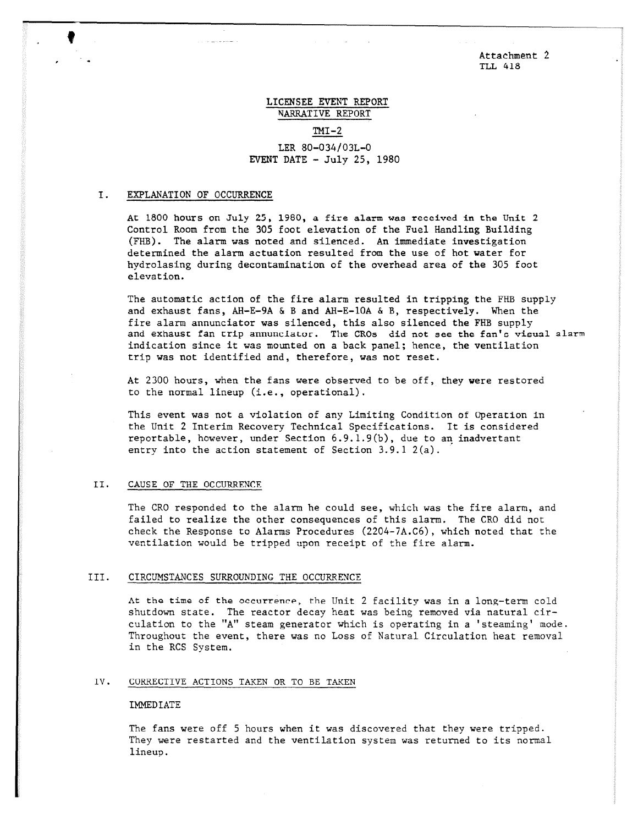Attachment 2 TLL 418

# LICENSEE EVENT REPORT NARRATIVE REPORT

### $TM-2$

# LER 80-034/03L-0 EVENT DATE  $-$  July 25, 1980

### I. EXPLANATION OF OCCURRENCE

At 1800 hours on July 25, 1980, a fire alarm was received in the Unit 2 Control Room from the 305 foot elevation of the Fuel Handling Building (FHB). The alarm was noted and silenced. An immediate investigation determined the alarm actuation resulted from the use of hot water for hydrolasing during decontamination of the overhead area of the 305 foot elevation.

The automatic action of the fire alarm resulted in tripping the FHB supply and exhaust fans, AH-E-9A & B and AH-E-10A & B, respectively. When the fire alarm annunciator was silenced, this also silenced the FHB supply and exhaust fan trip annunciator. The CROs did not see the fan's visual alarm indication since it was mounted on a back panel; hence, the ventilation trip was not identified and, therefore, was not reset.

At 2300 hours, when the fans were observed to be off, they were restored to the normal lineup (i.e., operational).

This event was not a violation of any Limiting Condition of Operation in the Unit 2 Interim Recovery Technical Specifications. It is considered reportable, however, under Section 6.9.1.9(b), due to an inadvertent entry into the action statement of Section 3.9.1 2(a).

#### II. CAUSE OF THE OCCURRFNCR

The CRO responded to the alarm he could see, which was the fire alarm, and failed to realize the other consequences of this alarm. The CRO did not check the Response to Alarms Procedures (2204-7A.C6), which noted that the ventilation would be tripped upon receipt of the fire alarm.

#### III. CIRCUMSTANCES SURROUNDING THE OCCURRENCE

At the time of the occurrence, the Unit 2 facility was in a long-term cold shutdown state. The reactor decay heat was being removed via natural circulation to the "A" steam generator which is operating in a 'steaming' mode. Throughout the event, there was no Loss of Natural Circulation heat removal in the RCS System.

### IV. CORRECTIVE ACTIONS TAKEN OR TO BE TAKEN

### IMMEDIATE

The fans were off 5 hours when it was discovered that they were tripped. They were restarted and the ventilation system was returned to its normal lineup.